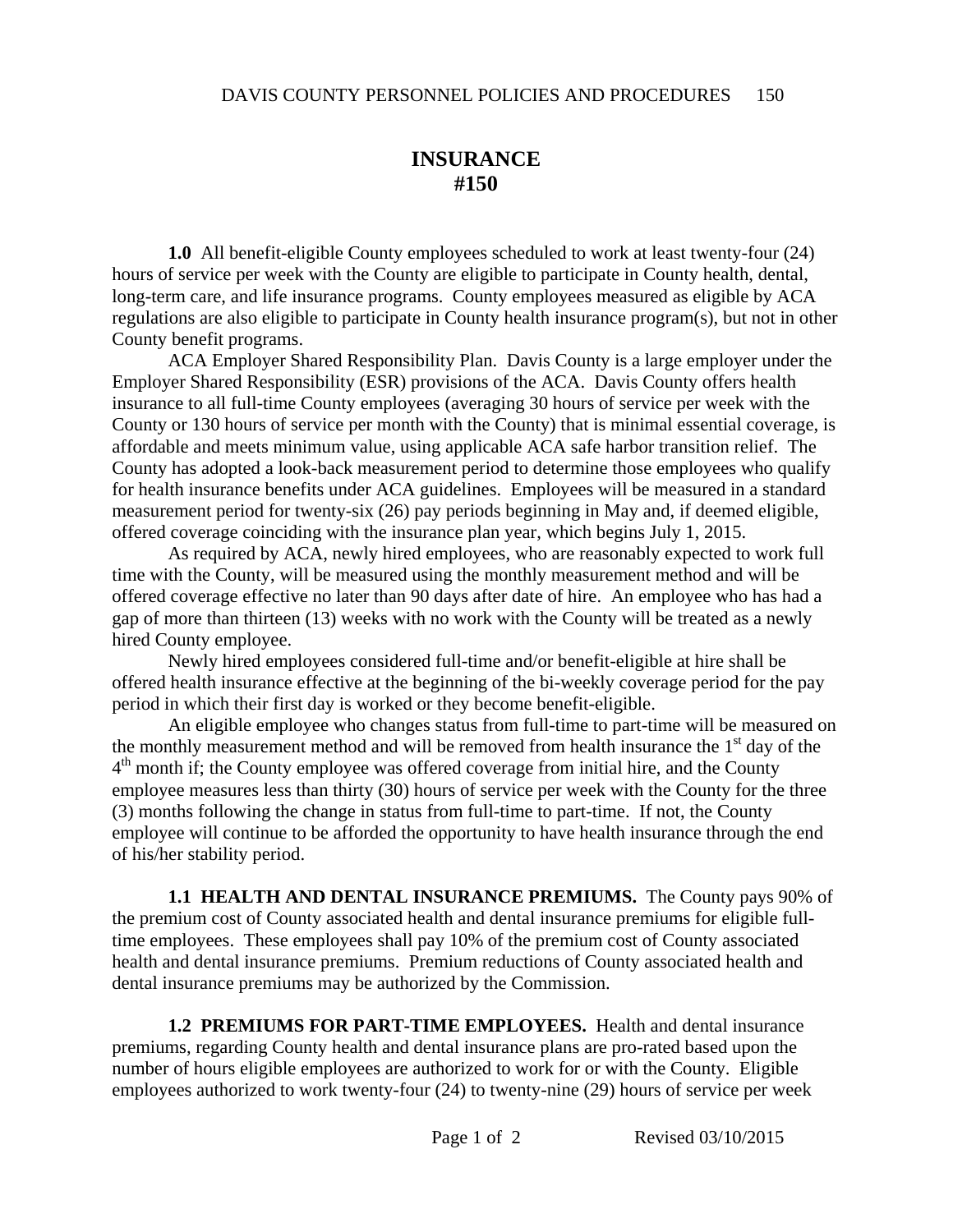## **INSURANCE #150**

**1.0** All benefit-eligible County employees scheduled to work at least twenty-four (24) hours of service per week with the County are eligible to participate in County health, dental, long-term care, and life insurance programs. County employees measured as eligible by ACA regulations are also eligible to participate in County health insurance program(s), but not in other County benefit programs.

ACA Employer Shared Responsibility Plan. Davis County is a large employer under the Employer Shared Responsibility (ESR) provisions of the ACA. Davis County offers health insurance to all full-time County employees (averaging 30 hours of service per week with the County or 130 hours of service per month with the County) that is minimal essential coverage, is affordable and meets minimum value, using applicable ACA safe harbor transition relief. The County has adopted a look-back measurement period to determine those employees who qualify for health insurance benefits under ACA guidelines. Employees will be measured in a standard measurement period for twenty-six (26) pay periods beginning in May and, if deemed eligible, offered coverage coinciding with the insurance plan year, which begins July 1, 2015.

As required by ACA, newly hired employees, who are reasonably expected to work full time with the County, will be measured using the monthly measurement method and will be offered coverage effective no later than 90 days after date of hire. An employee who has had a gap of more than thirteen (13) weeks with no work with the County will be treated as a newly hired County employee.

Newly hired employees considered full-time and/or benefit-eligible at hire shall be offered health insurance effective at the beginning of the bi-weekly coverage period for the pay period in which their first day is worked or they become benefit-eligible.

An eligible employee who changes status from full-time to part-time will be measured on the monthly measurement method and will be removed from health insurance the  $1<sup>st</sup>$  day of the  $4<sup>th</sup>$  month if; the County employee was offered coverage from initial hire, and the County employee measures less than thirty (30) hours of service per week with the County for the three (3) months following the change in status from full-time to part-time. If not, the County employee will continue to be afforded the opportunity to have health insurance through the end of his/her stability period.

**1.1 HEALTH AND DENTAL INSURANCE PREMIUMS.** The County pays 90% of the premium cost of County associated health and dental insurance premiums for eligible fulltime employees. These employees shall pay 10% of the premium cost of County associated health and dental insurance premiums. Premium reductions of County associated health and dental insurance premiums may be authorized by the Commission.

**1.2 PREMIUMS FOR PART-TIME EMPLOYEES.** Health and dental insurance premiums, regarding County health and dental insurance plans are pro-rated based upon the number of hours eligible employees are authorized to work for or with the County. Eligible employees authorized to work twenty-four (24) to twenty-nine (29) hours of service per week